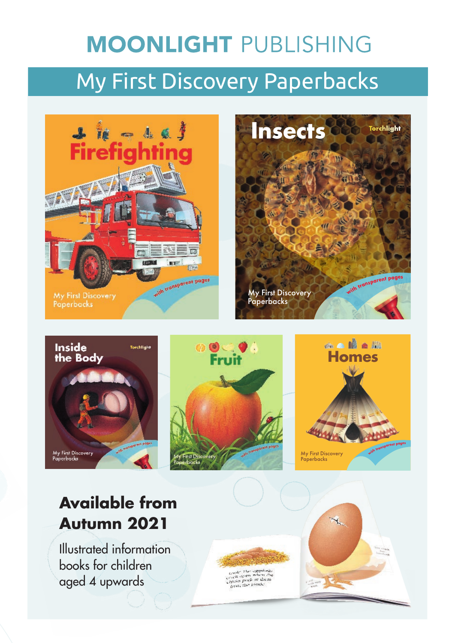# **MOONLIGHT PUBLISHING** My First Discovery Paperbacks











## **Available from Autumn 2021**

Illustrated information books for children aged 4 upwards